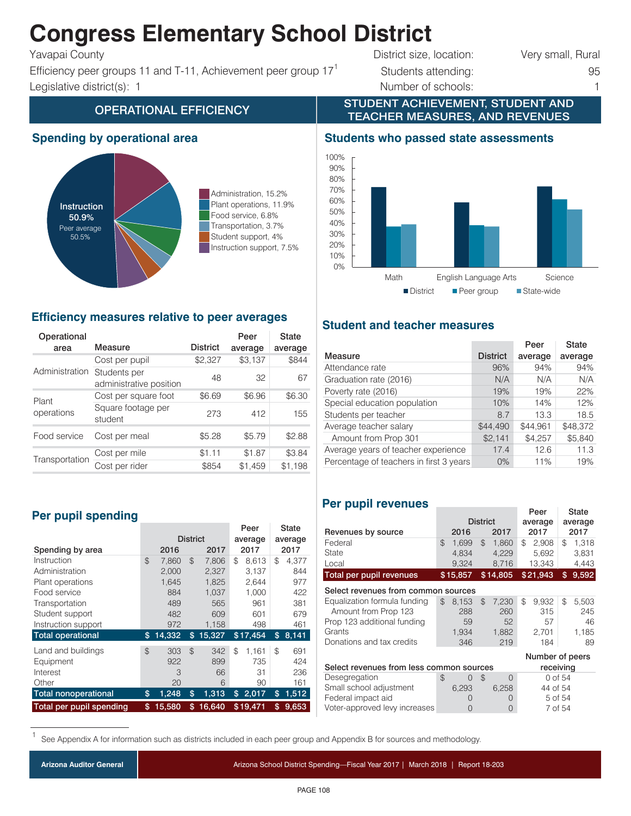# **Congress Elementary School District**

Efficiency peer groups 11 and T-11, Achievement peer group  $17<sup>1</sup>$  Students attending: 95 Legislative district(s): 1 1 and 1 and 2 and 2 and 2 and 2 and 2 and 2 and 2 and 2 and 2 and 2 and 2 and 2 and 2 and 2 and 2 and 2 and 2 and 2 and 2 and 2 and 2 and 2 and 2 and 2 and 2 and 2 and 2 and 2 and 2 and 2 and 2 a

Yavapai County **District size, location:** Very small, Rural

STUDENT ACHIEVEMENT, STUDENT AND

# OPERATIONAL EFFICIENCY **TEACHER MEASURES, AND REVENUES**

# **Spending by operational area**



Administration, 15.2% Plant operations, 11.9% Food service, 6.8% Transportation, 3.7% Student support, 4% Instruction support, 7.5%

# **Efficiency measures relative to peer averages**

| Operational<br>area           | Measure                                 | <b>District</b> | Peer<br>average | State<br>average |
|-------------------------------|-----------------------------------------|-----------------|-----------------|------------------|
|                               | Cost per pupil                          | \$2,327         | \$3,137         | \$844            |
| Administration                | Students per<br>administrative position | 48              | 32              | 67               |
| Plant                         | Cost per square foot                    | \$6.69          | \$6.96          | \$6.30           |
| operations                    | Square footage per<br>student           | 273             | 412             | 155              |
| Food service<br>Cost per meal |                                         | \$5.28          | \$5.79          | \$2.88           |
| Transportation                | Cost per mile                           | \$1.11          | \$1.87          | \$3.84           |
|                               | Cost per rider                          | \$854           | \$1,459         | \$1,198          |

# **Per pupil spending**

|                             |                 |        |                |        |         | Peer     |    | <b>State</b> |
|-----------------------------|-----------------|--------|----------------|--------|---------|----------|----|--------------|
|                             | <b>District</b> |        | average        |        | average |          |    |              |
| Spending by area            |                 | 2016   |                | 2017   |         | 2017     |    | 2017         |
| Instruction                 | $\mathcal{F}$   | 7.860  | $\mathfrak{L}$ | 7.806  | \$      | 8,613    | \$ | 4,377        |
| Administration              |                 | 2.000  |                | 2,327  |         | 3,137    |    | 844          |
| Plant operations            |                 | 1.645  |                | 1,825  |         | 2,644    |    | 977          |
| Food service                |                 | 884    |                | 1.037  |         | 1,000    |    | 422          |
| Transportation              |                 | 489    |                | 565    |         | 961      |    | 381          |
| Student support             |                 | 482    |                | 609    |         | 601      |    | 679          |
| Instruction support         |                 | 972    |                | 1,158  |         | 498      |    | 461          |
| <b>Total operational</b>    | \$              | 14,332 | \$             | 15,327 |         | \$17,454 | \$ | 8,141        |
| Land and buildings          | $\mathfrak{L}$  | 303    | \$             | 342    | \$      | 1.161    | \$ | 691          |
| Equipment                   |                 | 922    |                | 899    |         | 735      |    | 424          |
| Interest                    |                 | 3      |                | 66     |         | 31       |    | 236          |
| Other                       |                 | 20     |                | 6      |         | 90       |    | 161          |
| <b>Total nonoperational</b> | \$              | 1,248  | \$             | 1,313  | \$      | 2,017    | \$ | 1,512        |
| Total per pupil spending    | \$              | 15,580 | \$             | 16,640 |         | \$19.471 | \$ | 9.653        |

# **Students who passed state assessments**



# **Student and teacher measures**

|                                         |                 | Peer     | <b>State</b> |
|-----------------------------------------|-----------------|----------|--------------|
| Measure                                 | <b>District</b> | average  | average      |
| Attendance rate                         | 96%             | 94%      | 94%          |
| Graduation rate (2016)                  | N/A             | N/A      | N/A          |
| Poverty rate (2016)                     | 19%             | 19%      | 22%          |
| Special education population            | 10%             | 14%      | 12%          |
| Students per teacher                    | 8.7             | 13.3     | 18.5         |
| Average teacher salary                  | \$44,490        | \$44,961 | \$48,372     |
| Amount from Prop 301                    | \$2,141         | \$4,257  | \$5,840      |
| Average years of teacher experience     | 17.4            | 12.6     | 11.3         |
| Percentage of teachers in first 3 years | $0\%$           | 11%      | 19%          |
|                                         |                 |          |              |

# **Per pupil revenues**

|                                                       |    |                  |                |                  |         | Peer         |         | State        |
|-------------------------------------------------------|----|------------------|----------------|------------------|---------|--------------|---------|--------------|
|                                                       |    | <b>District</b>  |                |                  | average |              | average |              |
| Revenues by source                                    |    | 2016             |                | 2017             |         | 2017         |         | 2017         |
| Federal                                               | \$ | 1,699            | $\mathfrak{D}$ | 1,860            | \$      | 2,908        | \$      | 1,318        |
| State                                                 |    | 4.834            |                | 4,229            |         | 5,692        |         | 3.831        |
| Local                                                 |    | 9,324            |                | 8,716            |         | 13,343       |         | 4,443        |
| <b>Total per pupil revenues</b>                       |    | \$15,857         |                | \$14,805         |         | \$21,943     | \$      | 9,592        |
| Select revenues from common sources                   |    |                  |                |                  |         |              |         |              |
| Equalization formula funding<br>Amount from Prop 123  | \$ | 8,153<br>288     | \$             | 7.230<br>260     | \$      | 9,932<br>315 | \$      | 5,503<br>245 |
| Prop 123 additional funding                           |    | 59               |                | 52               |         | 57           |         | 46           |
| Grants                                                |    | 1,934            |                | 1,882            |         | 2,701        |         | 1,185        |
| Donations and tax credits                             |    | 346              |                | 219              |         | 184          |         | 89           |
| Number of peers                                       |    |                  |                |                  |         |              |         |              |
| Select revenues from less common sources<br>receiving |    |                  |                |                  |         |              |         |              |
| Desegregation                                         | \$ | 0                | \$             | $\Omega$         |         | 0 of 54      |         |              |
| Small school adjustment                               |    | 6,293            |                | 6,258            |         | 44 of 54     |         |              |
| Federal impact aid                                    |    | $\left( \right)$ |                | $\left( \right)$ |         | 5 of 54      |         |              |
| Voter-approved levy increases                         |    | 0                |                | O                |         | 7 of 54      |         |              |

See Appendix A for information such as districts included in each peer group and Appendix B for sources and methodology.